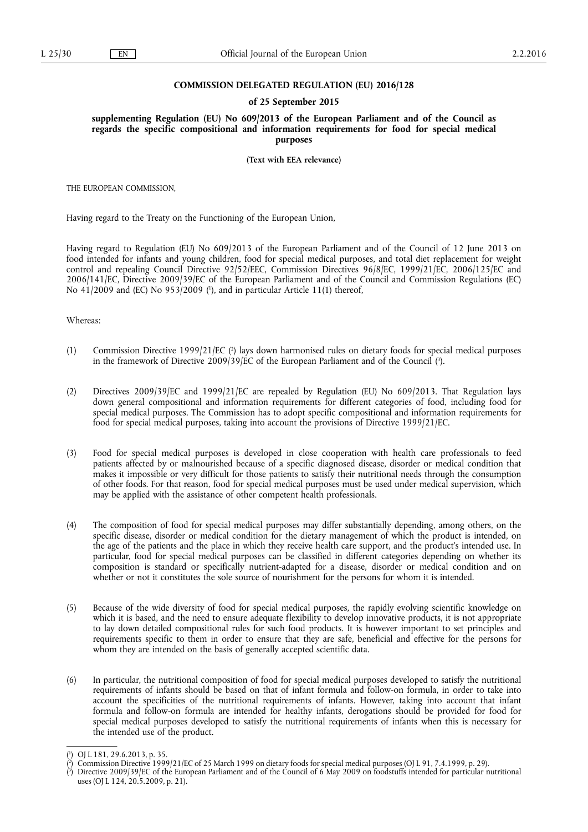### **COMMISSION DELEGATED REGULATION (EU) 2016/128**

#### **of 25 September 2015**

**supplementing Regulation (EU) No 609/2013 of the European Parliament and of the Council as regards the specific compositional and information requirements for food for special medical purposes** 

**(Text with EEA relevance)** 

THE EUROPEAN COMMISSION,

Having regard to the Treaty on the Functioning of the European Union,

Having regard to Regulation (EU) No 609/2013 of the European Parliament and of the Council of 12 June 2013 on food intended for infants and young children, food for special medical purposes, and total diet replacement for weight control and repealing Council Directive 92/52/EEC, Commission Directives 96/8/EC, 1999/21/EC, 2006/125/EC and 2006/141/EC, Directive 2009/39/EC of the European Parliament and of the Council and Commission Regulations (EC) No 41/2009 and (EC) No 953/2009 ( 1 ), and in particular Article 11(1) thereof,

#### Whereas:

- (1) Commission Directive 1999/21/EC ( 2 ) lays down harmonised rules on dietary foods for special medical purposes in the framework of Directive 2009/39/EC of the European Parliament and of the Council ( 3 ).
- (2) Directives 2009/39/EC and 1999/21/EC are repealed by Regulation (EU) No 609/2013. That Regulation lays down general compositional and information requirements for different categories of food, including food for special medical purposes. The Commission has to adopt specific compositional and information requirements for food for special medical purposes, taking into account the provisions of Directive 1999/21/EC.
- (3) Food for special medical purposes is developed in close cooperation with health care professionals to feed patients affected by or malnourished because of a specific diagnosed disease, disorder or medical condition that makes it impossible or very difficult for those patients to satisfy their nutritional needs through the consumption of other foods. For that reason, food for special medical purposes must be used under medical supervision, which may be applied with the assistance of other competent health professionals.
- (4) The composition of food for special medical purposes may differ substantially depending, among others, on the specific disease, disorder or medical condition for the dietary management of which the product is intended, on the age of the patients and the place in which they receive health care support, and the product's intended use. In particular, food for special medical purposes can be classified in different categories depending on whether its composition is standard or specifically nutrient-adapted for a disease, disorder or medical condition and on whether or not it constitutes the sole source of nourishment for the persons for whom it is intended.
- (5) Because of the wide diversity of food for special medical purposes, the rapidly evolving scientific knowledge on which it is based, and the need to ensure adequate flexibility to develop innovative products, it is not appropriate to lay down detailed compositional rules for such food products. It is however important to set principles and requirements specific to them in order to ensure that they are safe, beneficial and effective for the persons for whom they are intended on the basis of generally accepted scientific data.
- (6) In particular, the nutritional composition of food for special medical purposes developed to satisfy the nutritional requirements of infants should be based on that of infant formula and follow-on formula, in order to take into account the specificities of the nutritional requirements of infants. However, taking into account that infant formula and follow-on formula are intended for healthy infants, derogations should be provided for food for special medical purposes developed to satisfy the nutritional requirements of infants when this is necessary for the intended use of the product.

<sup>(</sup> 1 ) OJ L 181, 29.6.2013, p. 35.

<sup>(</sup> 2 ) Commission Directive 1999/21/EC of 25 March 1999 on dietary foods for special medical purposes (OJ L 91, 7.4.1999, p. 29).

<sup>(</sup> 3 ) Directive 2009/39/EC of the European Parliament and of the Council of 6 May 2009 on foodstuffs intended for particular nutritional uses (OJ L 124, 20.5.2009, p. 21).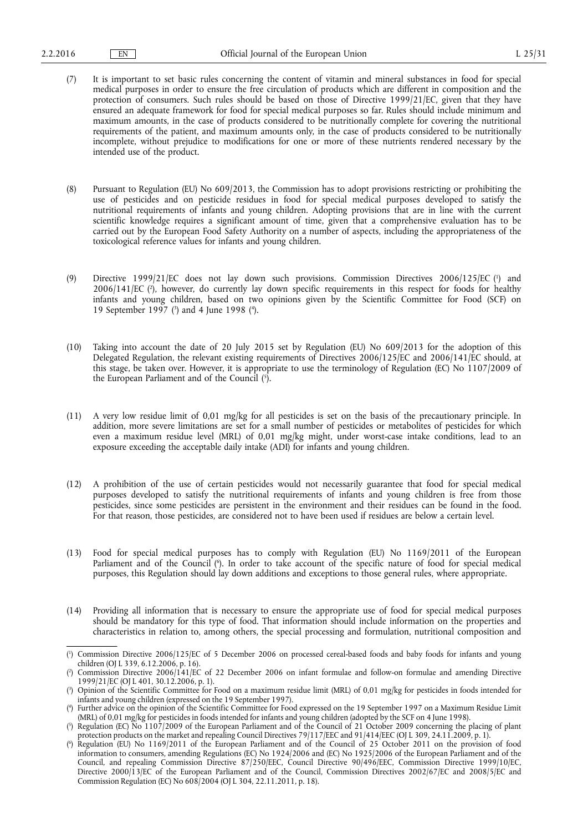- (7) It is important to set basic rules concerning the content of vitamin and mineral substances in food for special medical purposes in order to ensure the free circulation of products which are different in composition and the protection of consumers. Such rules should be based on those of Directive 1999/21/EC, given that they have ensured an adequate framework for food for special medical purposes so far. Rules should include minimum and maximum amounts, in the case of products considered to be nutritionally complete for covering the nutritional requirements of the patient, and maximum amounts only, in the case of products considered to be nutritionally incomplete, without prejudice to modifications for one or more of these nutrients rendered necessary by the intended use of the product.
- (8) Pursuant to Regulation (EU) No 609/2013, the Commission has to adopt provisions restricting or prohibiting the use of pesticides and on pesticide residues in food for special medical purposes developed to satisfy the nutritional requirements of infants and young children. Adopting provisions that are in line with the current scientific knowledge requires a significant amount of time, given that a comprehensive evaluation has to be carried out by the European Food Safety Authority on a number of aspects, including the appropriateness of the toxicological reference values for infants and young children.
- (9) Directive 1999/21/EC does not lay down such provisions. Commission Directives 2006/125/EC (<sup>1</sup>) and 2006/141/EC (?), however, do currently lay down specific requirements in this respect for foods for healthy infants and young children, based on two opinions given by the Scientific Committee for Food (SCF) on 19 September 1997 ( 3 ) and 4 June 1998 ( 4 ).
- (10) Taking into account the date of 20 July 2015 set by Regulation (EU) No 609/2013 for the adoption of this Delegated Regulation, the relevant existing requirements of Directives 2006/125/EC and 2006/141/EC should, at this stage, be taken over. However, it is appropriate to use the terminology of Regulation (EC) No 1107/2009 of the European Parliament and of the Council ( 5 ).
- (11) A very low residue limit of 0,01 mg/kg for all pesticides is set on the basis of the precautionary principle. In addition, more severe limitations are set for a small number of pesticides or metabolites of pesticides for which even a maximum residue level (MRL) of 0,01 mg/kg might, under worst-case intake conditions, lead to an exposure exceeding the acceptable daily intake (ADI) for infants and young children.
- (12) A prohibition of the use of certain pesticides would not necessarily guarantee that food for special medical purposes developed to satisfy the nutritional requirements of infants and young children is free from those pesticides, since some pesticides are persistent in the environment and their residues can be found in the food. For that reason, those pesticides, are considered not to have been used if residues are below a certain level.
- (13) Food for special medical purposes has to comply with Regulation (EU) No 1169/2011 of the European Parliament and of the Council ( 6 ). In order to take account of the specific nature of food for special medical purposes, this Regulation should lay down additions and exceptions to those general rules, where appropriate.
- (14) Providing all information that is necessary to ensure the appropriate use of food for special medical purposes should be mandatory for this type of food. That information should include information on the properties and characteristics in relation to, among others, the special processing and formulation, nutritional composition and

<sup>(</sup> 1 ) Commission Directive 2006/125/EC of 5 December 2006 on processed cereal-based foods and baby foods for infants and young children (OJ L 339, 6.12.2006, p. 16).

<sup>(</sup> 2 ) Commission Directive 2006/141/EC of 22 December 2006 on infant formulae and follow-on formulae and amending Directive 1999/21/EC (OJ L 401, 30.12.2006, p. 1).

<sup>(</sup> 3 ) Opinion of the Scientific Committee for Food on a maximum residue limit (MRL) of 0,01 mg/kg for pesticides in foods intended for infants and young children (expressed on the 19 September 1997).

<sup>(</sup> 4 ) Further advice on the opinion of the Scientific Committee for Food expressed on the 19 September 1997 on a Maximum Residue Limit (MRL) of 0,01 mg/kg for pesticides in foods intended for infants and young children (adopted by the SCF on 4 June 1998).

<sup>(</sup> 5 ) Regulation (EC) No 1107/2009 of the European Parliament and of the Council of 21 October 2009 concerning the placing of plant protection products on the market and repealing Council Directives 79/117/EEC and 91/414/EEC (OJ L 309, 24.11.2009, p. 1).

<sup>(</sup> 6 ) Regulation (EU) No 1169/2011 of the European Parliament and of the Council of 25 October 2011 on the provision of food information to consumers, amending Regulations (EC) No 1924/2006 and (EC) No 1925/2006 of the European Parliament and of the Council, and repealing Commission Directive 87/250/EEC, Council Directive 90/496/EEC, Commission Directive 1999/10/EC, Directive 2000/13/EC of the European Parliament and of the Council, Commission Directives 2002/67/EC and 2008/5/EC and Commission Regulation (EC) No 608/2004 (OJ L 304, 22.11.2011, p. 18).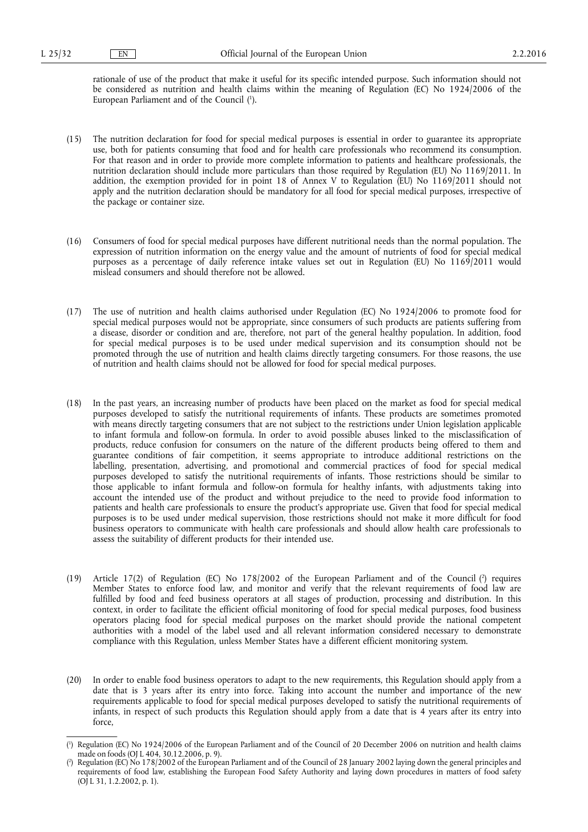rationale of use of the product that make it useful for its specific intended purpose. Such information should not be considered as nutrition and health claims within the meaning of Regulation (EC) No 1924/2006 of the European Parliament and of the Council ( 1 ).

- (15) The nutrition declaration for food for special medical purposes is essential in order to guarantee its appropriate use, both for patients consuming that food and for health care professionals who recommend its consumption. For that reason and in order to provide more complete information to patients and healthcare professionals, the nutrition declaration should include more particulars than those required by Regulation (EU) No 1169/2011. In addition, the exemption provided for in point 18 of Annex V to Regulation (EU) No 1169/2011 should not apply and the nutrition declaration should be mandatory for all food for special medical purposes, irrespective of the package or container size.
- (16) Consumers of food for special medical purposes have different nutritional needs than the normal population. The expression of nutrition information on the energy value and the amount of nutrients of food for special medical purposes as a percentage of daily reference intake values set out in Regulation (EU) No 1169/2011 would mislead consumers and should therefore not be allowed.
- (17) The use of nutrition and health claims authorised under Regulation (EC) No 1924/2006 to promote food for special medical purposes would not be appropriate, since consumers of such products are patients suffering from a disease, disorder or condition and are, therefore, not part of the general healthy population. In addition, food for special medical purposes is to be used under medical supervision and its consumption should not be promoted through the use of nutrition and health claims directly targeting consumers. For those reasons, the use of nutrition and health claims should not be allowed for food for special medical purposes.
- (18) In the past years, an increasing number of products have been placed on the market as food for special medical purposes developed to satisfy the nutritional requirements of infants. These products are sometimes promoted with means directly targeting consumers that are not subject to the restrictions under Union legislation applicable to infant formula and follow-on formula. In order to avoid possible abuses linked to the misclassification of products, reduce confusion for consumers on the nature of the different products being offered to them and guarantee conditions of fair competition, it seems appropriate to introduce additional restrictions on the labelling, presentation, advertising, and promotional and commercial practices of food for special medical purposes developed to satisfy the nutritional requirements of infants. Those restrictions should be similar to those applicable to infant formula and follow-on formula for healthy infants, with adjustments taking into account the intended use of the product and without prejudice to the need to provide food information to patients and health care professionals to ensure the product's appropriate use. Given that food for special medical purposes is to be used under medical supervision, those restrictions should not make it more difficult for food business operators to communicate with health care professionals and should allow health care professionals to assess the suitability of different products for their intended use.
- (19) Article 17(2) of Regulation (EC) No 178/2002 of the European Parliament and of the Council ( $\alpha$ ) requires Member States to enforce food law, and monitor and verify that the relevant requirements of food law are fulfilled by food and feed business operators at all stages of production, processing and distribution. In this context, in order to facilitate the efficient official monitoring of food for special medical purposes, food business operators placing food for special medical purposes on the market should provide the national competent authorities with a model of the label used and all relevant information considered necessary to demonstrate compliance with this Regulation, unless Member States have a different efficient monitoring system.
- (20) In order to enable food business operators to adapt to the new requirements, this Regulation should apply from a date that is 3 years after its entry into force. Taking into account the number and importance of the new requirements applicable to food for special medical purposes developed to satisfy the nutritional requirements of infants, in respect of such products this Regulation should apply from a date that is 4 years after its entry into force,

<sup>(</sup> 1 ) Regulation (EC) No 1924/2006 of the European Parliament and of the Council of 20 December 2006 on nutrition and health claims made on foods (OJ L 404, 30.12.2006, p. 9).

<sup>(</sup> 2 ) Regulation (EC) No 178/2002 of the European Parliament and of the Council of 28 January 2002 laying down the general principles and requirements of food law, establishing the European Food Safety Authority and laying down procedures in matters of food safety (OJ L 31, 1.2.2002, p. 1).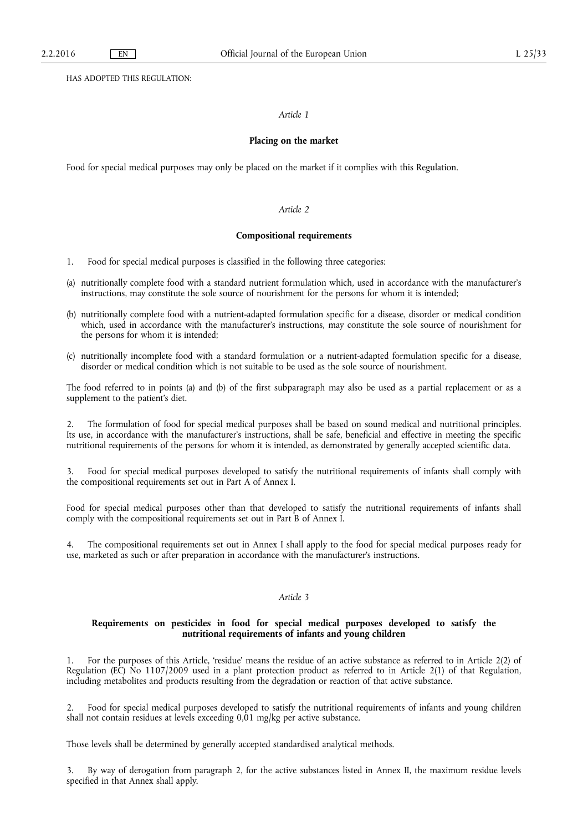HAS ADOPTED THIS REGULATION:

# *Article 1*

#### **Placing on the market**

Food for special medical purposes may only be placed on the market if it complies with this Regulation.

# *Article 2*

## **Compositional requirements**

- 1. Food for special medical purposes is classified in the following three categories:
- (a) nutritionally complete food with a standard nutrient formulation which, used in accordance with the manufacturer's instructions, may constitute the sole source of nourishment for the persons for whom it is intended;
- (b) nutritionally complete food with a nutrient-adapted formulation specific for a disease, disorder or medical condition which, used in accordance with the manufacturer's instructions, may constitute the sole source of nourishment for the persons for whom it is intended;
- (c) nutritionally incomplete food with a standard formulation or a nutrient-adapted formulation specific for a disease, disorder or medical condition which is not suitable to be used as the sole source of nourishment.

The food referred to in points (a) and (b) of the first subparagraph may also be used as a partial replacement or as a supplement to the patient's diet.

2. The formulation of food for special medical purposes shall be based on sound medical and nutritional principles. Its use, in accordance with the manufacturer's instructions, shall be safe, beneficial and effective in meeting the specific nutritional requirements of the persons for whom it is intended, as demonstrated by generally accepted scientific data.

3. Food for special medical purposes developed to satisfy the nutritional requirements of infants shall comply with the compositional requirements set out in Part A of Annex I.

Food for special medical purposes other than that developed to satisfy the nutritional requirements of infants shall comply with the compositional requirements set out in Part B of Annex I.

4. The compositional requirements set out in Annex I shall apply to the food for special medical purposes ready for use, marketed as such or after preparation in accordance with the manufacturer's instructions.

## *Article 3*

## **Requirements on pesticides in food for special medical purposes developed to satisfy the nutritional requirements of infants and young children**

1. For the purposes of this Article, 'residue' means the residue of an active substance as referred to in Article 2(2) of Regulation (EC) No 1107/2009 used in a plant protection product as referred to in Article 2(1) of that Regulation, including metabolites and products resulting from the degradation or reaction of that active substance.

2. Food for special medical purposes developed to satisfy the nutritional requirements of infants and young children shall not contain residues at levels exceeding 0,01 mg/kg per active substance.

Those levels shall be determined by generally accepted standardised analytical methods.

3. By way of derogation from paragraph 2, for the active substances listed in Annex II, the maximum residue levels specified in that Annex shall apply.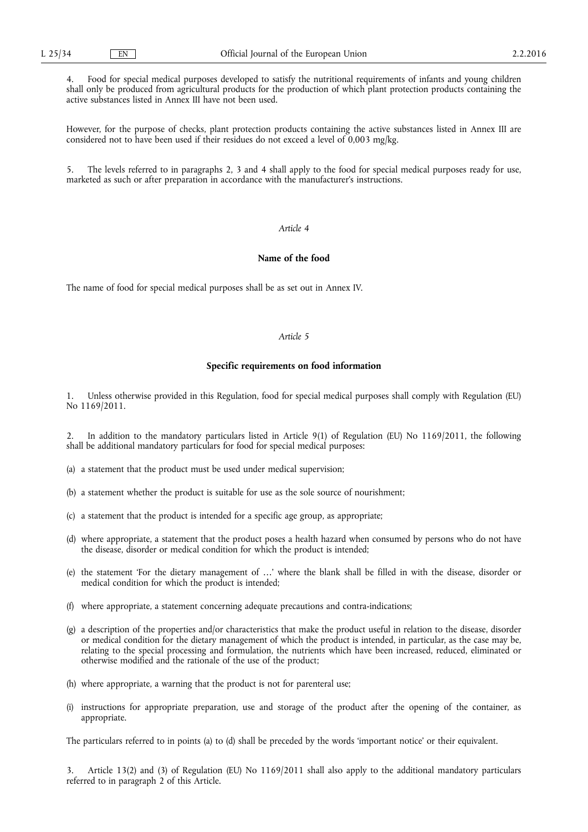4. Food for special medical purposes developed to satisfy the nutritional requirements of infants and young children shall only be produced from agricultural products for the production of which plant protection products containing the active substances listed in Annex III have not been used.

However, for the purpose of checks, plant protection products containing the active substances listed in Annex III are considered not to have been used if their residues do not exceed a level of 0,003 mg/kg.

The levels referred to in paragraphs 2, 3 and 4 shall apply to the food for special medical purposes ready for use, marketed as such or after preparation in accordance with the manufacturer's instructions.

### *Article 4*

# **Name of the food**

The name of food for special medical purposes shall be as set out in Annex IV.

### *Article 5*

### **Specific requirements on food information**

1. Unless otherwise provided in this Regulation, food for special medical purposes shall comply with Regulation (EU) No 1169/2011.

2. In addition to the mandatory particulars listed in Article 9(1) of Regulation (EU) No 1169/2011, the following shall be additional mandatory particulars for food for special medical purposes:

- (a) a statement that the product must be used under medical supervision;
- (b) a statement whether the product is suitable for use as the sole source of nourishment;
- (c) a statement that the product is intended for a specific age group, as appropriate;
- (d) where appropriate, a statement that the product poses a health hazard when consumed by persons who do not have the disease, disorder or medical condition for which the product is intended;
- (e) the statement 'For the dietary management of …' where the blank shall be filled in with the disease, disorder or medical condition for which the product is intended;
- (f) where appropriate, a statement concerning adequate precautions and contra-indications;
- (g) a description of the properties and/or characteristics that make the product useful in relation to the disease, disorder or medical condition for the dietary management of which the product is intended, in particular, as the case may be, relating to the special processing and formulation, the nutrients which have been increased, reduced, eliminated or otherwise modified and the rationale of the use of the product;
- (h) where appropriate, a warning that the product is not for parenteral use;
- (i) instructions for appropriate preparation, use and storage of the product after the opening of the container, as appropriate.

The particulars referred to in points (a) to (d) shall be preceded by the words 'important notice' or their equivalent.

3. Article 13(2) and (3) of Regulation (EU) No 1169/2011 shall also apply to the additional mandatory particulars referred to in paragraph 2 of this Article.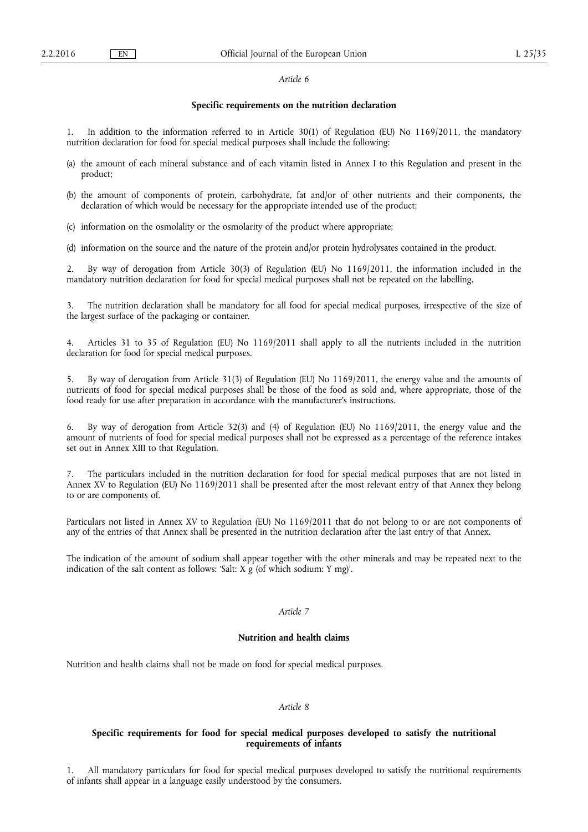#### *Article 6*

## **Specific requirements on the nutrition declaration**

1. In addition to the information referred to in Article 30(1) of Regulation (EU) No 1169/2011, the mandatory nutrition declaration for food for special medical purposes shall include the following:

- (a) the amount of each mineral substance and of each vitamin listed in Annex I to this Regulation and present in the product;
- (b) the amount of components of protein, carbohydrate, fat and/or of other nutrients and their components, the declaration of which would be necessary for the appropriate intended use of the product;
- (c) information on the osmolality or the osmolarity of the product where appropriate;
- (d) information on the source and the nature of the protein and/or protein hydrolysates contained in the product.

2. By way of derogation from Article 30(3) of Regulation (EU) No 1169/2011, the information included in the mandatory nutrition declaration for food for special medical purposes shall not be repeated on the labelling.

3. The nutrition declaration shall be mandatory for all food for special medical purposes, irrespective of the size of the largest surface of the packaging or container.

4. Articles 31 to 35 of Regulation (EU) No 1169/2011 shall apply to all the nutrients included in the nutrition declaration for food for special medical purposes.

5. By way of derogation from Article 31(3) of Regulation (EU) No 1169/2011, the energy value and the amounts of nutrients of food for special medical purposes shall be those of the food as sold and, where appropriate, those of the food ready for use after preparation in accordance with the manufacturer's instructions.

6. By way of derogation from Article 32(3) and (4) of Regulation (EU) No 1169/2011, the energy value and the amount of nutrients of food for special medical purposes shall not be expressed as a percentage of the reference intakes set out in Annex XIII to that Regulation.

7. The particulars included in the nutrition declaration for food for special medical purposes that are not listed in Annex XV to Regulation (EU) No 1169/2011 shall be presented after the most relevant entry of that Annex they belong to or are components of.

Particulars not listed in Annex XV to Regulation (EU) No 1169/2011 that do not belong to or are not components of any of the entries of that Annex shall be presented in the nutrition declaration after the last entry of that Annex.

The indication of the amount of sodium shall appear together with the other minerals and may be repeated next to the indication of the salt content as follows: 'Salt:  $X \nvert g$  (of which sodium: Y mg)'.

# *Article 7*

#### **Nutrition and health claims**

Nutrition and health claims shall not be made on food for special medical purposes.

#### *Article 8*

# **Specific requirements for food for special medical purposes developed to satisfy the nutritional requirements of infants**

1. All mandatory particulars for food for special medical purposes developed to satisfy the nutritional requirements of infants shall appear in a language easily understood by the consumers.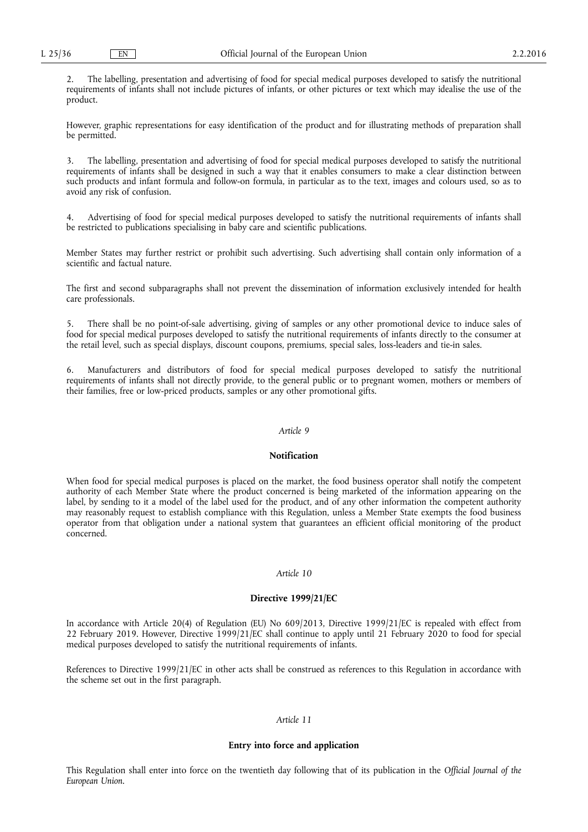2. The labelling, presentation and advertising of food for special medical purposes developed to satisfy the nutritional requirements of infants shall not include pictures of infants, or other pictures or text which may idealise the use of the product.

However, graphic representations for easy identification of the product and for illustrating methods of preparation shall be permitted.

3. The labelling, presentation and advertising of food for special medical purposes developed to satisfy the nutritional requirements of infants shall be designed in such a way that it enables consumers to make a clear distinction between such products and infant formula and follow-on formula, in particular as to the text, images and colours used, so as to avoid any risk of confusion.

4. Advertising of food for special medical purposes developed to satisfy the nutritional requirements of infants shall be restricted to publications specialising in baby care and scientific publications.

Member States may further restrict or prohibit such advertising. Such advertising shall contain only information of a scientific and factual nature.

The first and second subparagraphs shall not prevent the dissemination of information exclusively intended for health care professionals.

5. There shall be no point-of-sale advertising, giving of samples or any other promotional device to induce sales of food for special medical purposes developed to satisfy the nutritional requirements of infants directly to the consumer at the retail level, such as special displays, discount coupons, premiums, special sales, loss-leaders and tie-in sales.

6. Manufacturers and distributors of food for special medical purposes developed to satisfy the nutritional requirements of infants shall not directly provide, to the general public or to pregnant women, mothers or members of their families, free or low-priced products, samples or any other promotional gifts.

# *Article 9*

# **Notification**

When food for special medical purposes is placed on the market, the food business operator shall notify the competent authority of each Member State where the product concerned is being marketed of the information appearing on the label, by sending to it a model of the label used for the product, and of any other information the competent authority may reasonably request to establish compliance with this Regulation, unless a Member State exempts the food business operator from that obligation under a national system that guarantees an efficient official monitoring of the product concerned.

#### *Article 10*

#### **Directive 1999/21/EC**

In accordance with Article 20(4) of Regulation (EU) No 609/2013, Directive 1999/21/EC is repealed with effect from 22 February 2019. However, Directive 1999/21/EC shall continue to apply until 21 February 2020 to food for special medical purposes developed to satisfy the nutritional requirements of infants.

References to Directive 1999/21/EC in other acts shall be construed as references to this Regulation in accordance with the scheme set out in the first paragraph.

# *Article 11*

#### **Entry into force and application**

This Regulation shall enter into force on the twentieth day following that of its publication in the *Official Journal of the European Union*.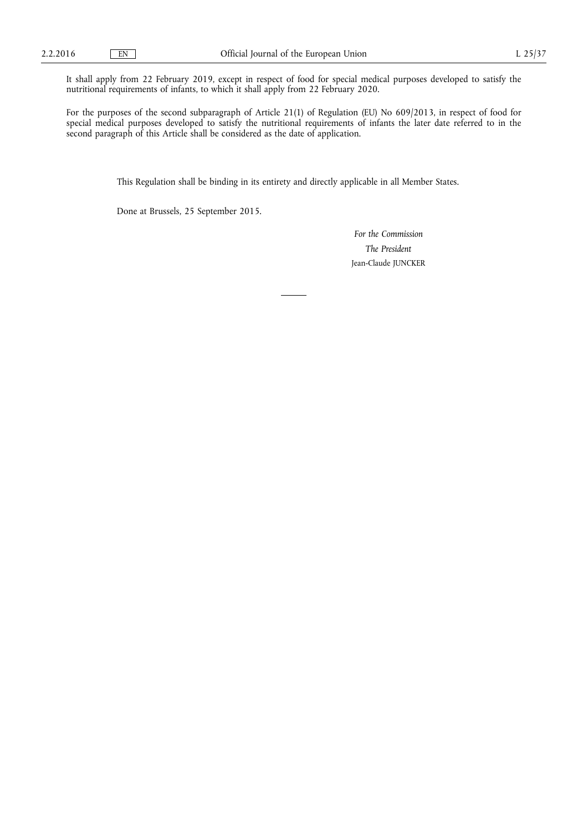It shall apply from 22 February 2019, except in respect of food for special medical purposes developed to satisfy the nutritional requirements of infants, to which it shall apply from 22 February 2020.

For the purposes of the second subparagraph of Article 21(1) of Regulation (EU) No 609/2013, in respect of food for special medical purposes developed to satisfy the nutritional requirements of infants the later date referred to in the second paragraph of this Article shall be considered as the date of application.

This Regulation shall be binding in its entirety and directly applicable in all Member States.

Done at Brussels, 25 September 2015.

*For the Commission The President*  Jean-Claude JUNCKER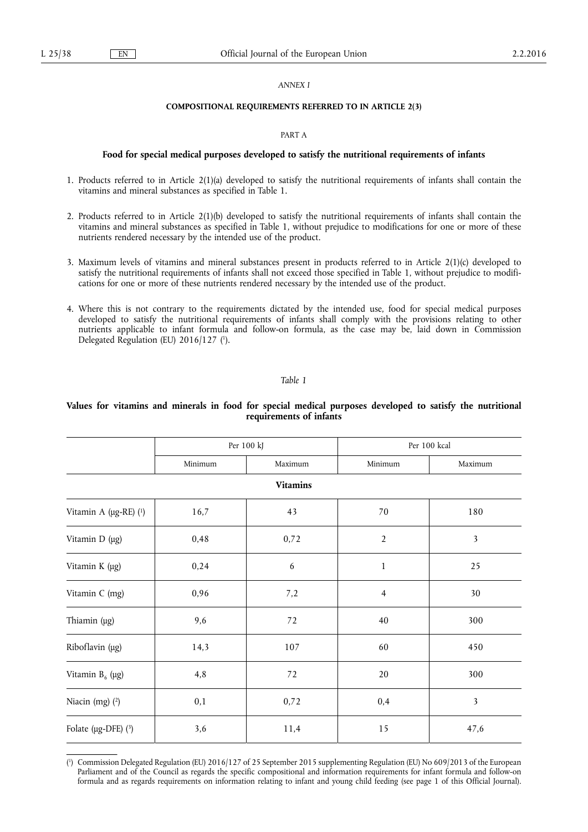#### *ANNEX I*

### **COMPOSITIONAL REQUIREMENTS REFERRED TO IN ARTICLE 2(3)**

#### PART A

#### **Food for special medical purposes developed to satisfy the nutritional requirements of infants**

- 1. Products referred to in Article 2(1)(a) developed to satisfy the nutritional requirements of infants shall contain the vitamins and mineral substances as specified in Table 1.
- 2. Products referred to in Article 2(1)(b) developed to satisfy the nutritional requirements of infants shall contain the vitamins and mineral substances as specified in Table 1, without prejudice to modifications for one or more of these nutrients rendered necessary by the intended use of the product.
- 3. Maximum levels of vitamins and mineral substances present in products referred to in Article 2(1)(c) developed to satisfy the nutritional requirements of infants shall not exceed those specified in Table 1, without prejudice to modifications for one or more of these nutrients rendered necessary by the intended use of the product.
- 4. Where this is not contrary to the requirements dictated by the intended use, food for special medical purposes developed to satisfy the nutritional requirements of infants shall comply with the provisions relating to other nutrients applicable to infant formula and follow-on formula, as the case may be, laid down in Commission Delegated Regulation (EU) 2016/127 ( 1 ).

#### *Table 1*

# **Values for vitamins and minerals in food for special medical purposes developed to satisfy the nutritional requirements of infants**

|                       | Per 100 kJ |         | Per 100 kcal   |                         |
|-----------------------|------------|---------|----------------|-------------------------|
|                       | Minimum    | Maximum | Minimum        | Maximum                 |
| <b>Vitamins</b>       |            |         |                |                         |
| Vitamin A (µg-RE) (1) | 16,7       | 43      | 70             | 180                     |
| Vitamin D (µg)        | 0,48       | 0,72    | $\overline{2}$ | 3                       |
| Vitamin K (µg)        | 0,24       | 6       | $\,1$          | 25                      |
| Vitamin C (mg)        | 0,96       | 7,2     | $\overline{4}$ | $30\,$                  |
| Thiamin (µg)          | 9,6        | 72      | 40             | 300                     |
| Riboflavin (µg)       | 14,3       | 107     | 60             | 450                     |
| Vitamin $B_6$ (µg)    | 4,8        | $72\,$  | 20             | 300                     |
| Niacin (mg) $(2)$     | 0,1        | 0,72    | 0,4            | $\overline{\mathbf{3}}$ |
| Folate (µg-DFE) (3)   | 3,6        | 11,4    | 15             | 47,6                    |

<sup>(</sup> 1 ) Commission Delegated Regulation (EU) 2016/127 of 25 September 2015 supplementing Regulation (EU) No 609/2013 of the European Parliament and of the Council as regards the specific compositional and information requirements for infant formula and follow-on formula and as regards requirements on information relating to infant and young child feeding (see page 1 of this Official Journal).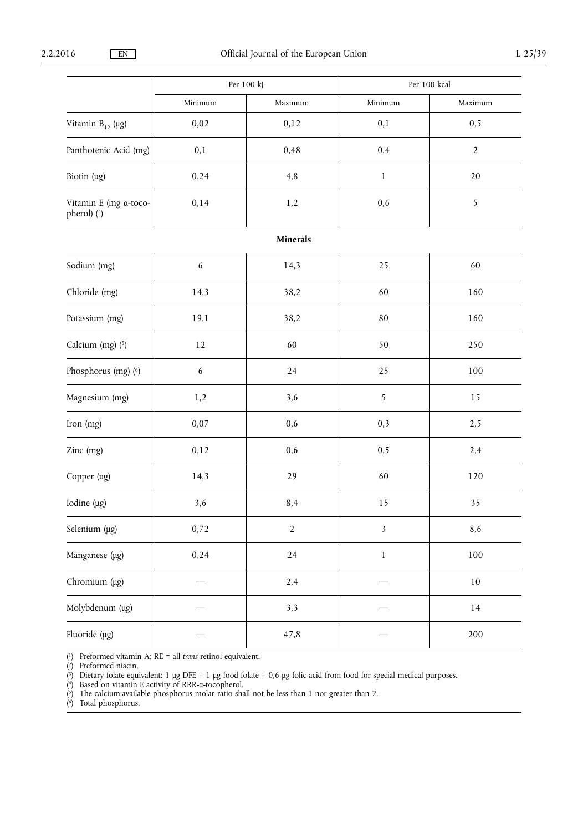|                                      | Per 100 kJ       |                 | Per 100 kcal            |                |
|--------------------------------------|------------------|-----------------|-------------------------|----------------|
|                                      | Minimum          | Maximum         | Minimum                 | Maximum        |
| Vitamin $B_{12}$ (µg)                | 0,02             | 0,12            | 0,1                     | 0, 5           |
| Panthotenic Acid (mg)                | 0,1              | 0,48            | 0,4                     | $\overline{2}$ |
| Biotin (µg)                          | 0,24             | 4,8             | $\mathbf 1$             | $20\,$         |
| Vitamin E (mg a-toco-<br>pherol) (4) | 0,14             | 1,2             | 0,6                     | 5              |
|                                      |                  | <b>Minerals</b> |                         |                |
| Sodium (mg)                          | $\boldsymbol{6}$ | 14,3            | 25                      | 60             |
| Chloride (mg)                        | 14,3             | 38,2            | 60                      | 160            |
| Potassium (mg)                       | 19,1             | 38,2            | 80                      | 160            |
| Calcium $(mg)(5)$                    | $12\,$           | 60              | 50                      | 250            |
| Phosphorus (mg) (6)                  | 6                | 24              | 25                      | 100            |
| Magnesium (mg)                       | 1,2              | 3,6             | 5                       | 15             |
| Iron (mg)                            | 0,07             | 0,6             | 0,3                     | 2,5            |
| Zinc (mg)                            | 0,12             | 0,6             | 0,5                     | 2,4            |
| Copper (µg)                          | 14,3             | 29              | 60                      | 120            |
| Iodine (µg)                          | 3,6              | 8,4             | 15                      | 35             |
| Selenium (µg)                        | 0,72             | $\overline{2}$  | $\overline{\mathbf{3}}$ | 8,6            |
| Manganese (µg)                       | 0,24             | 24              | $\,1$                   | 100            |
| Chromium (µg)                        |                  | 2,4             |                         | $10\,$         |
| Molybdenum (µg)                      |                  | 3,3             |                         | $14\,$         |
| Fluoride (µg)                        |                  | 47,8            |                         | 200            |

( 1) Preformed vitamin A; RE = all *trans* retinol equivalent.

( 2) Preformed niacin.

( 3) Dietary folate equivalent: 1 μg DFE = 1 μg food folate = 0,6 μg folic acid from food for special medical purposes.

( 4) Based on vitamin E activity of RRR-α-tocopherol.

( 5) The calcium:available phosphorus molar ratio shall not be less than 1 nor greater than 2.

( 6) Total phosphorus.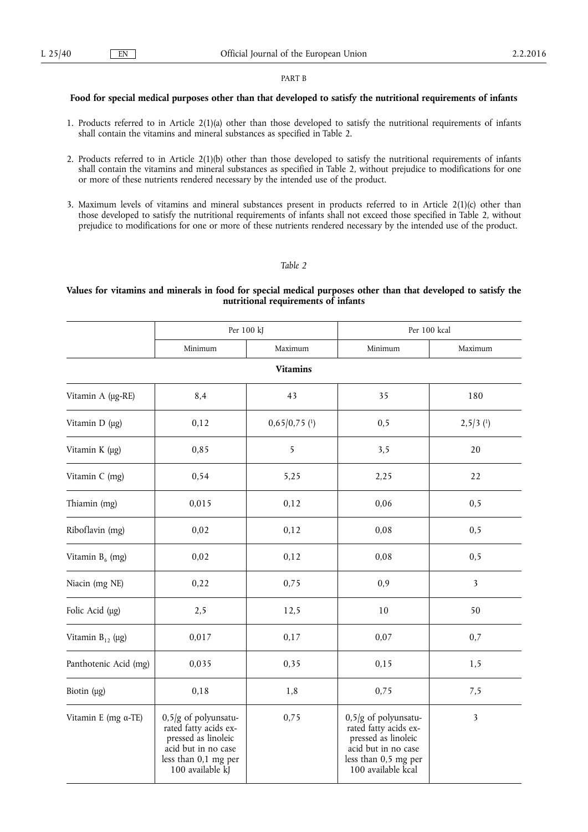#### PART B

## **Food for special medical purposes other than that developed to satisfy the nutritional requirements of infants**

- 1. Products referred to in Article 2(1)(a) other than those developed to satisfy the nutritional requirements of infants shall contain the vitamins and mineral substances as specified in Table 2.
- 2. Products referred to in Article 2(1)(b) other than those developed to satisfy the nutritional requirements of infants shall contain the vitamins and mineral substances as specified in Table 2, without prejudice to modifications for one or more of these nutrients rendered necessary by the intended use of the product.
- 3. Maximum levels of vitamins and mineral substances present in products referred to in Article 2(1)(c) other than those developed to satisfy the nutritional requirements of infants shall not exceed those specified in Table 2, without prejudice to modifications for one or more of these nutrients rendered necessary by the intended use of the product.

## *Table 2*

# **Values for vitamins and minerals in food for special medical purposes other than that developed to satisfy the nutritional requirements of infants**

|                       | Per 100 kJ                                                                                                                                |                            | Per 100 kcal                                                                                                                                |                |
|-----------------------|-------------------------------------------------------------------------------------------------------------------------------------------|----------------------------|---------------------------------------------------------------------------------------------------------------------------------------------|----------------|
|                       | Minimum                                                                                                                                   | Maximum                    | Minimum                                                                                                                                     | Maximum        |
|                       |                                                                                                                                           | <b>Vitamins</b>            |                                                                                                                                             |                |
| Vitamin A (µg-RE)     | 8,4                                                                                                                                       | 43                         | 35                                                                                                                                          | 180            |
| Vitamin D (µg)        | 0,12                                                                                                                                      | $0,65/0,75$ <sup>(1)</sup> | 0,5                                                                                                                                         | $2,5/3$ (1)    |
| Vitamin K (µg)        | 0,85                                                                                                                                      | 5                          | 3,5                                                                                                                                         | 20             |
| Vitamin C (mg)        | 0,54                                                                                                                                      | 5,25                       | 2,25                                                                                                                                        | 22             |
| Thiamin (mg)          | 0,015                                                                                                                                     | 0,12                       | 0,06                                                                                                                                        | 0,5            |
| Riboflavin (mg)       | 0,02                                                                                                                                      | 0,12                       | 0,08                                                                                                                                        | 0, 5           |
| Vitamin $B_6$ (mg)    | 0,02                                                                                                                                      | 0,12                       | 0,08                                                                                                                                        | 0, 5           |
| Niacin (mg NE)        | 0,22                                                                                                                                      | 0,75                       | 0,9                                                                                                                                         | $\mathfrak{Z}$ |
| Folic Acid (µg)       | 2,5                                                                                                                                       | 12,5                       | $10\,$                                                                                                                                      | 50             |
| Vitamin $B_{12}$ (µg) | 0,017                                                                                                                                     | 0,17                       | 0,07                                                                                                                                        | 0,7            |
| Panthotenic Acid (mg) | 0,035                                                                                                                                     | 0,35                       | 0,15                                                                                                                                        | 1,5            |
| Biotin $(\mu g)$      | 0,18                                                                                                                                      | 1,8                        | 0,75                                                                                                                                        | 7,5            |
| Vitamin E (mg a-TE)   | $0.5/g$ of polyunsatu-<br>rated fatty acids ex-<br>pressed as linoleic<br>acid but in no case<br>less than 0,1 mg per<br>100 available kJ | 0,75                       | $0,5/g$ of polyunsatu-<br>rated fatty acids ex-<br>pressed as linoleic<br>acid but in no case<br>less than 0,5 mg per<br>100 available kcal | 3              |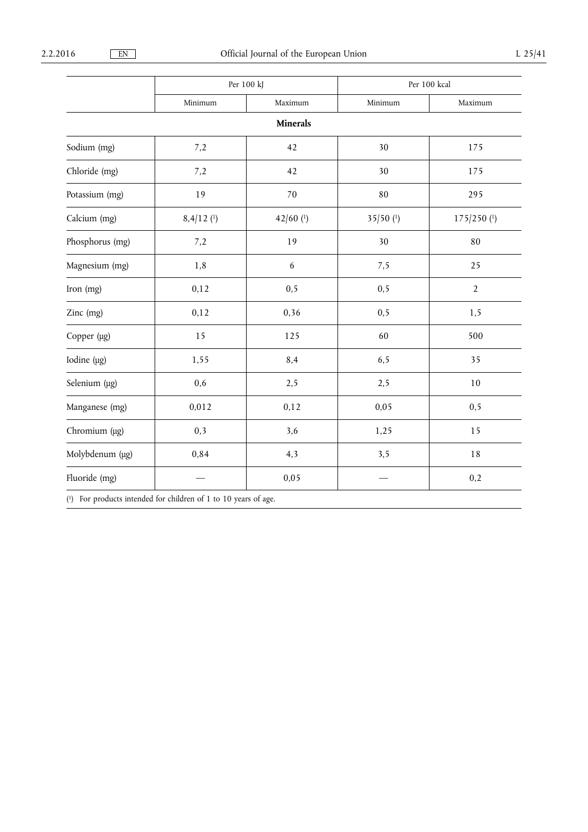|                  | Per 100 kJ   |                 | Per 100 kcal |                |
|------------------|--------------|-----------------|--------------|----------------|
|                  | Minimum      | Maximum         | Minimum      | Maximum        |
|                  |              | <b>Minerals</b> |              |                |
| Sodium (mg)      | 7,2          | 42              | 30           | 175            |
| Chloride (mg)    | 7,2          | 42              | 30           | 175            |
| Potassium (mg)   | 19           | 70              | 80           | 295            |
| Calcium (mg)     | $8,4/12$ (1) | $42/60$ (1)     | $35/50$ (1)  | $175/250$ (1)  |
| Phosphorus (mg)  | 7,2          | 19              | 30           | 80             |
| Magnesium (mg)   | 1,8          | 6               | 7,5          | 25             |
| Iron (mg)        | 0,12         | 0, 5            | 0,5          | $\overline{2}$ |
| Zinc (mg)        | 0,12         | 0,36            | 0,5          | 1,5            |
| Copper (µg)      | 15           | 125             | 60           | 500            |
| Iodine $(\mu g)$ | 1,55         | 8,4             | 6,5          | 35             |
| Selenium (µg)    | 0,6          | 2,5             | 2,5          | 10             |
| Manganese (mg)   | 0,012        | 0,12            | 0,05         | 0,5            |
| Chromium (µg)    | 0,3          | 3,6             | 1,25         | 15             |
| Molybdenum (µg)  | 0,84         | 4,3             | 3,5          | 18             |
| Fluoride (mg)    |              | 0,05            |              | 0,2            |

( 1) For products intended for children of 1 to 10 years of age.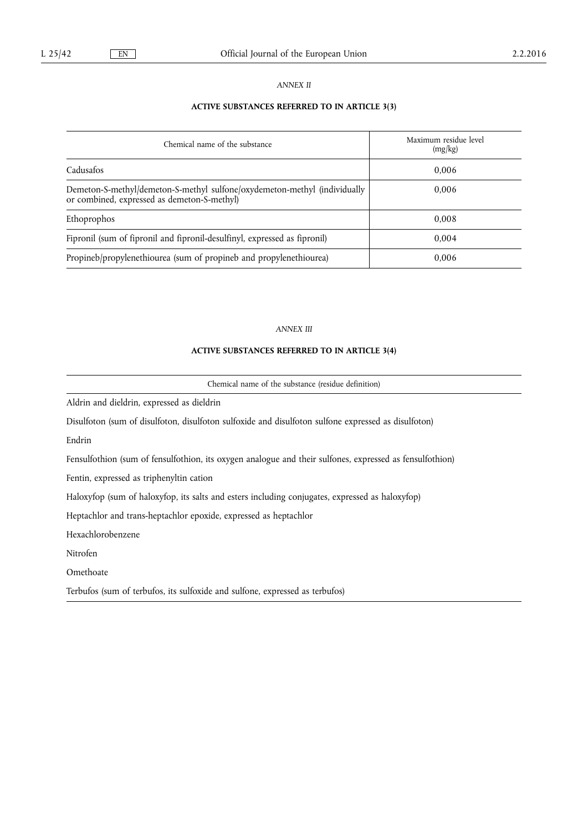# *ANNEX II*

# **ACTIVE SUBSTANCES REFERRED TO IN ARTICLE 3(3)**

| Chemical name of the substance                                                                                           | Maximum residue level<br>(mg/kg) |  |
|--------------------------------------------------------------------------------------------------------------------------|----------------------------------|--|
| Cadusafos                                                                                                                | 0.006                            |  |
| Demeton-S-methyl/demeton-S-methyl sulfone/oxydemeton-methyl (individually<br>or combined, expressed as demeton-S-methyl) | 0.006                            |  |
| Ethoprophos                                                                                                              | 0.008                            |  |
| Fipronil (sum of fipronil and fipronil-desulfinyl, expressed as fipronil)                                                | 0.004                            |  |
| Propineb/propylenethiourea (sum of propineb and propylenethiourea)                                                       | 0,006                            |  |

# *ANNEX III*

# **ACTIVE SUBSTANCES REFERRED TO IN ARTICLE 3(4)**

Chemical name of the substance (residue definition)

Aldrin and dieldrin, expressed as dieldrin

Disulfoton (sum of disulfoton, disulfoton sulfoxide and disulfoton sulfone expressed as disulfoton)

Endrin

Fensulfothion (sum of fensulfothion, its oxygen analogue and their sulfones, expressed as fensulfothion)

Fentin, expressed as triphenyltin cation

Haloxyfop (sum of haloxyfop, its salts and esters including conjugates, expressed as haloxyfop)

Heptachlor and trans-heptachlor epoxide, expressed as heptachlor

Hexachlorobenzene

Nitrofen

Omethoate

Terbufos (sum of terbufos, its sulfoxide and sulfone, expressed as terbufos)